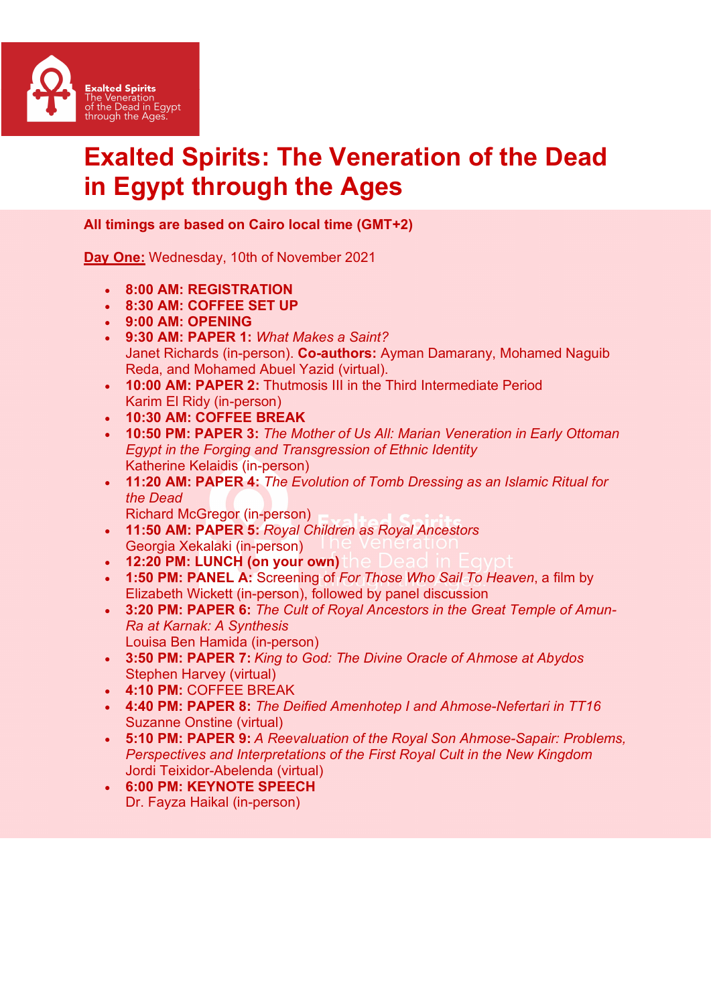

## Exalted Spirits: The Veneration of the Dead in Egypt through the Ages

## All timings are based on Cairo local time (GMT+2)

Day One: Wednesday, 10th of November 2021

- 8:00 AM: REGISTRATION
- 8:30 AM: COFFEE SET UP
- 9:00 AM: OPENING
- 9:30 AM: PAPER 1: What Makes a Saint? Janet Richards (in-person). Co-authors: Ayman Damarany, Mohamed Naquib Reda, and Mohamed Abuel Yazid (virtual).
- 10:00 AM: PAPER 2: Thutmosis III in the Third Intermediate Period Karim El Ridy (in-person)
- 10:30 AM: COFFEE BREAK
- 10:50 PM: PAPER 3: The Mother of Us All: Marian Veneration in Early Ottoman Egypt in the Forging and Transgression of Ethnic Identity Katherine Kelaidis (in-person)
- 11:20 AM: PAPER 4: The Evolution of Tomb Dressing as an Islamic Ritual for the Dead

Richard McGregor (in-person)

- 11:50 AM: PAPER 5: Royal Children as Royal Ancestors Georgia Xekalaki (in-person)
- 12:20 PM: LUNCH (on your own)
- 1:50 PM: PANEL A: Screening of For Those Who Sail To Heaven, a film by Elizabeth Wickett (in-person), followed by panel discussion
- 3:20 PM: PAPER 6: The Cult of Royal Ancestors in the Great Temple of Amun-Ra at Karnak: A Synthesis Louisa Ben Hamida (in-person)
- 3:50 PM: PAPER 7: King to God: The Divine Oracle of Ahmose at Abydos Stephen Harvey (virtual)
- 4:10 PM: COFFEE BREAK
- 4:40 PM: PAPER 8: The Deified Amenhotep I and Ahmose-Nefertari in TT16 Suzanne Onstine (virtual)
- 5:10 PM: PAPER 9: A Reevaluation of the Royal Son Ahmose-Sapair: Problems, Perspectives and Interpretations of the First Royal Cult in the New Kingdom Jordi Teixidor-Abelenda (virtual)
- 6:00 PM: KEYNOTE SPEECH Dr. Fayza Haikal (in-person)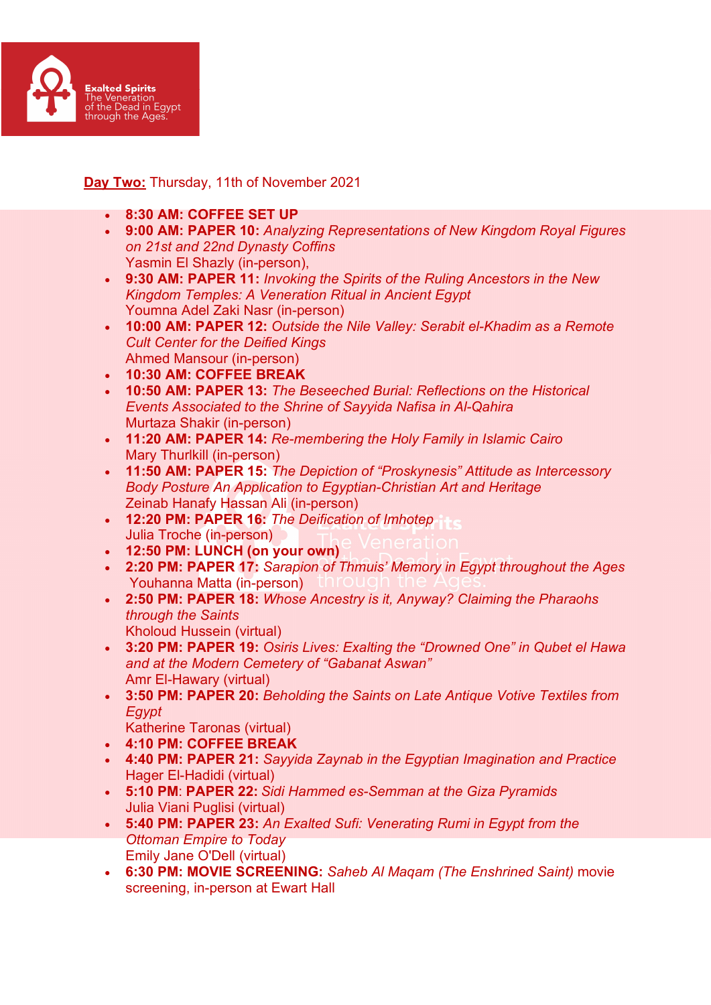

## Day Two: Thursday, 11th of November 2021

- 8:30 AM: COFFEE SET UP
- 9:00 AM: PAPER 10: Analyzing Representations of New Kingdom Royal Figures on 21st and 22nd Dynasty Coffins Yasmin El Shazly (in-person),
- 9:30 AM: PAPER 11: Invoking the Spirits of the Ruling Ancestors in the New Kingdom Temples: A Veneration Ritual in Ancient Egypt Youmna Adel Zaki Nasr (in-person)
- 10:00 AM: PAPER 12: Outside the Nile Valley: Serabit el-Khadim as a Remote Cult Center for the Deified Kings Ahmed Mansour (in-person)
- 10:30 AM: COFFEE BREAK
- 10:50 AM: PAPER 13: The Beseeched Burial: Reflections on the Historical Events Associated to the Shrine of Sayyida Nafisa in Al-Qahira Murtaza Shakir (in-person)
- 11:20 AM: PAPER 14: Re-membering the Holy Family in Islamic Cairo Mary Thurlkill (in-person)
- 11:50 AM: PAPER 15: The Depiction of "Proskynesis" Attitude as Intercessory Body Posture An Application to Egyptian-Christian Art and Heritage Zeinab Hanafy Hassan Ali (in-person)
- 12:20 PM: PAPER 16: The Deification of Imhotep Julia Troche (in-person)
- 12:50 PM: LUNCH (on your own)
- 2:20 PM: PAPER 17: Sarapion of Thmuis' Memory in Egypt throughout the Ages Youhanna Matta (in-person)
- 2:50 PM: PAPER 18: Whose Ancestry is it, Anyway? Claiming the Pharaohs through the Saints Kholoud Hussein (virtual)
- 3:20 PM: PAPER 19: Osiris Lives: Exalting the "Drowned One" in Qubet el Hawa and at the Modern Cemetery of "Gabanat Aswan" Amr El-Hawary (virtual)
- 3:50 PM: PAPER 20: Beholding the Saints on Late Antique Votive Textiles from Egypt
	- Katherine Taronas (virtual)
- 4:10 PM: COFFEE BREAK
- 4:40 PM: PAPER 21: Sayyida Zaynab in the Egyptian Imagination and Practice Hager El-Hadidi (virtual)
- 5:10 PM: PAPER 22: Sidi Hammed es-Semman at the Giza Pyramids Julia Viani Puglisi (virtual)
- 5:40 PM: PAPER 23: An Exalted Sufi: Venerating Rumi in Egypt from the Ottoman Empire to Today Emily Jane O'Dell (virtual)
- 6:30 PM: MOVIE SCREENING: Saheb Al Maqam (The Enshrined Saint) movie screening, in-person at Ewart Hall